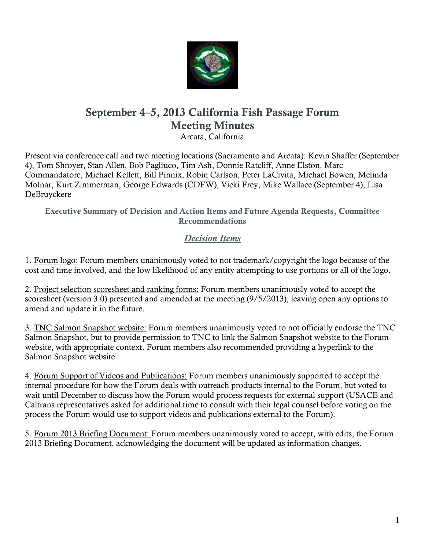

# **September 4–5, 2013 California Fish Passage Forum Meeting Minutes**

Arcata, California

Present via conference call and two meeting locations (Sacramento and Arcata): Kevin Shaffer (September 4), Tom Shroyer, Stan Allen, Bob Pagliuco, Tim Ash, Donnie Ratcliff, Anne Elston, Marc Commandatore, Michael Kellett, Bill Pinnix, Robin Carlson, Peter LaCivita, Michael Bowen, Melinda Molnar, Kurt Zimmerman, George Edwards (CDFW), Vicki Frey, Mike Wallace (September 4), Lisa DeBruyckere

**Executive Summary of Decision and Action Items and Future Agenda Requests, Committee Recommendations**

# *Decision Items*

1. Forum logo: Forum members unanimously voted to not trademark/copyright the logo because of the cost and time involved, and the low likelihood of any entity attempting to use portions or all of the logo.

2. Project selection scoresheet and ranking forms: Forum members unanimously voted to accept the scoresheet (version 3.0) presented and amended at the meeting (9/5/2013), leaving open any options to amend and update it in the future.

3. TNC Salmon Snapshot website: Forum members unanimously voted to not officially endorse the TNC Salmon Snapshot, but to provide permission to TNC to link the Salmon Snapshot website to the Forum website, with appropriate context. Forum members also recommended providing a hyperlink to the Salmon Snapshot website.

4. Forum Support of Videos and Publications: Forum members unanimously supported to accept the internal procedure for how the Forum deals with outreach products internal to the Forum, but voted to wait until December to discuss how the Forum would process requests for external support (USACE and Caltrans representatives asked for additional time to consult with their legal counsel before voting on the process the Forum would use to support videos and publications external to the Forum).

5. Forum 2013 Briefing Document: Forum members unanimously voted to accept, with edits, the Forum 2013 Briefing Document, acknowledging the document will be updated as information changes.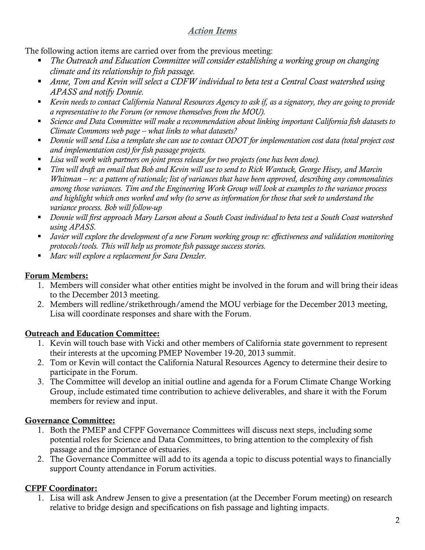## *Action Items*

The following action items are carried over from the previous meeting:

- *The Outreach and Education Committee will consider establishing a working group on changing climate and its relationship to fish passage.*
- *Anne, Tom and Kevin will select a CDFW individual to beta test a Central Coast watershed using APASS and notify Donnie.*
- *Kevin needs to contact California Natural Resources Agency to ask if, as a signatory, they are going to provide a representative to the Forum (or remove themselves from the MOU).*
- *Science and Data Committee will make a recommendation about linking important California fish datasets to Climate Commons web page – what links to what datasets?*
- *Donnie will send Lisa a template she can use to contact ODOT for implementation cost data (total project cost and implementation cost) for fish passage projects.*
- *Lisa will work with partners on joint press release for two projects (one has been done).*
- *Tim will draft an email that Bob and Kevin will use to send to Rick Wantuck, George Hisey, and Marcin Whitman – re: a pattern of rationale; list of variances that have been approved, describing any commonalities among those variances. Tim and the Engineering Work Group will look at examples to the variance process and highlight which ones worked and why (to serve as information for those that seek to understand the variance process. Bob will follow-up*
- *Donnie will first approach Mary Larson about a South Coast individual to beta test a South Coast watershed using APASS.*
- *Javier will explore the development of a new Forum working group re: effectiveness and validation monitoring protocols/tools. This will help us promote fish passage success stories.*
- *Marc will explore a replacement for Sara Denzler.*

## **Forum Members:**

- 1. Members will consider what other entities might be involved in the forum and will bring their ideas to the December 2013 meeting.
- 2. Members will redline/strikethrough/amend the MOU verbiage for the December 2013 meeting, Lisa will coordinate responses and share with the Forum.

## **Outreach and Education Committee:**

- 1. Kevin will touch base with Vicki and other members of California state government to represent their interests at the upcoming PMEP November 19-20, 2013 summit.
- 2. Tom or Kevin will contact the California Natural Resources Agency to determine their desire to participate in the Forum.
- 3. The Committee will develop an initial outline and agenda for a Forum Climate Change Working Group, include estimated time contribution to achieve deliverables, and share it with the Forum members for review and input.

## **Governance Committee:**

- 1. Both the PMEP and CFPF Governance Committees will discuss next steps, including some potential roles for Science and Data Committees, to bring attention to the complexity of fish passage and the importance of estuaries.
- 2. The Governance Committee will add to its agenda a topic to discuss potential ways to financially support County attendance in Forum activities.

## **CFPF Coordinator:**

1. Lisa will ask Andrew Jensen to give a presentation (at the December Forum meeting) on research relative to bridge design and specifications on fish passage and lighting impacts.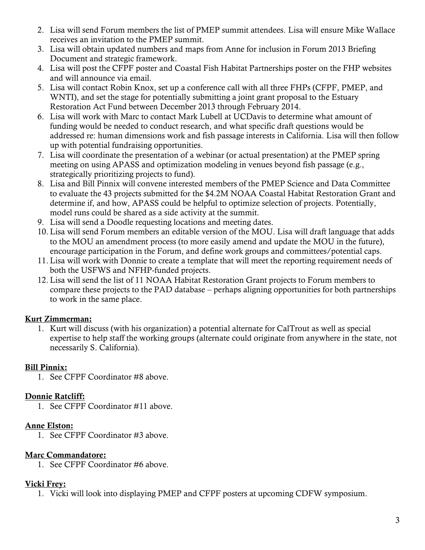- 2. Lisa will send Forum members the list of PMEP summit attendees. Lisa will ensure Mike Wallace receives an invitation to the PMEP summit.
- 3. Lisa will obtain updated numbers and maps from Anne for inclusion in Forum 2013 Briefing Document and strategic framework.
- 4. Lisa will post the CFPF poster and Coastal Fish Habitat Partnerships poster on the FHP websites and will announce via email.
- 5. Lisa will contact Robin Knox, set up a conference call with all three FHPs (CFPF, PMEP, and WNTI), and set the stage for potentially submitting a joint grant proposal to the Estuary Restoration Act Fund between December 2013 through February 2014.
- 6. Lisa will work with Marc to contact Mark Lubell at UCDavis to determine what amount of funding would be needed to conduct research, and what specific draft questions would be addressed re: human dimensions work and fish passage interests in California. Lisa will then follow up with potential fundraising opportunities.
- 7. Lisa will coordinate the presentation of a webinar (or actual presentation) at the PMEP spring meeting on using APASS and optimization modeling in venues beyond fish passage (e.g., strategically prioritizing projects to fund).
- 8. Lisa and Bill Pinnix will convene interested members of the PMEP Science and Data Committee to evaluate the 43 projects submitted for the \$4.2M NOAA Coastal Habitat Restoration Grant and determine if, and how, APASS could be helpful to optimize selection of projects. Potentially, model runs could be shared as a side activity at the summit.
- 9. Lisa will send a Doodle requesting locations and meeting dates.
- 10. Lisa will send Forum members an editable version of the MOU. Lisa will draft language that adds to the MOU an amendment process (to more easily amend and update the MOU in the future), encourage participation in the Forum, and define work groups and committees/potential caps.
- 11. Lisa will work with Donnie to create a template that will meet the reporting requirement needs of both the USFWS and NFHP-funded projects.
- 12. Lisa will send the list of 11 NOAA Habitat Restoration Grant projects to Forum members to compare these projects to the PAD database – perhaps aligning opportunities for both partnerships to work in the same place.

## **Kurt Zimmerman:**

1. Kurt will discuss (with his organization) a potential alternate for CalTrout as well as special expertise to help staff the working groups (alternate could originate from anywhere in the state, not necessarily S. California).

## **Bill Pinnix:**

1. See CFPF Coordinator #8 above.

## **Donnie Ratcliff:**

1. See CFPF Coordinator #11 above.

## **Anne Elston:**

1. See CFPF Coordinator #3 above.

## **Marc Commandatore:**

1. See CFPF Coordinator #6 above.

## **Vicki Frey:**

1. Vicki will look into displaying PMEP and CFPF posters at upcoming CDFW symposium.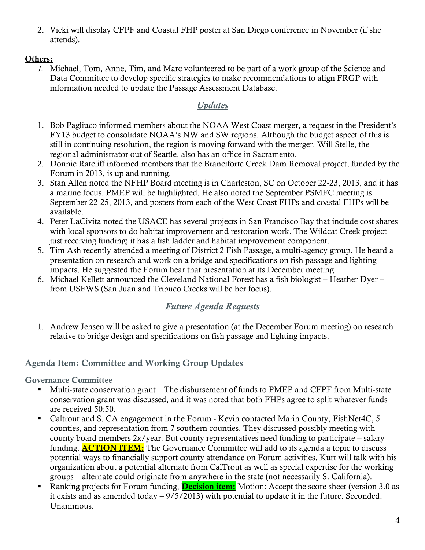2. Vicki will display CFPF and Coastal FHP poster at San Diego conference in November (if she attends).

### **Others:**

*1.* Michael, Tom, Anne, Tim, and Marc volunteered to be part of a work group of the Science and Data Committee to develop specific strategies to make recommendations to align FRGP with information needed to update the Passage Assessment Database.

## *Updates*

- 1. Bob Pagliuco informed members about the NOAA West Coast merger, a request in the President's FY13 budget to consolidate NOAA's NW and SW regions. Although the budget aspect of this is still in continuing resolution, the region is moving forward with the merger. Will Stelle, the regional administrator out of Seattle, also has an office in Sacramento.
- 2. Donnie Ratcliff informed members that the Branciforte Creek Dam Removal project, funded by the Forum in 2013, is up and running.
- 3. Stan Allen noted the NFHP Board meeting is in Charleston, SC on October 22-23, 2013, and it has a marine focus. PMEP will be highlighted. He also noted the September PSMFC meeting is September 22-25, 2013, and posters from each of the West Coast FHPs and coastal FHPs will be available.
- 4. Peter LaCivita noted the USACE has several projects in San Francisco Bay that include cost shares with local sponsors to do habitat improvement and restoration work. The Wildcat Creek project just receiving funding; it has a fish ladder and habitat improvement component.
- 5. Tim Ash recently attended a meeting of District 2 Fish Passage, a multi-agency group. He heard a presentation on research and work on a bridge and specifications on fish passage and lighting impacts. He suggested the Forum hear that presentation at its December meeting.
- 6. Michael Kellett announced the Cleveland National Forest has a fish biologist Heather Dyer from USFWS (San Juan and Tribuco Creeks will be her focus).

## *Future Agenda Requests*

1. Andrew Jensen will be asked to give a presentation (at the December Forum meeting) on research relative to bridge design and specifications on fish passage and lighting impacts.

## **Agenda Item: Committee and Working Group Updates**

**Governance Committee** 

- Multi-state conservation grant The disbursement of funds to PMEP and CFPF from Multi-state conservation grant was discussed, and it was noted that both FHPs agree to split whatever funds are received 50:50.
- Caltrout and S. CA engagement in the Forum Kevin contacted Marin County, FishNet4C, 5 counties, and representation from 7 southern counties. They discussed possibly meeting with county board members 2x/year. But county representatives need funding to participate – salary funding. **ACTION ITEM:** The Governance Committee will add to its agenda a topic to discuss potential ways to financially support county attendance on Forum activities. Kurt will talk with his organization about a potential alternate from CalTrout as well as special expertise for the working groups – alternate could originate from anywhere in the state (not necessarily S. California).
- Ranking projects for Forum funding, **Decision item:** Motion: Accept the score sheet (version 3.0 as it exists and as amended today – 9/5/2013) with potential to update it in the future. Seconded. Unanimous.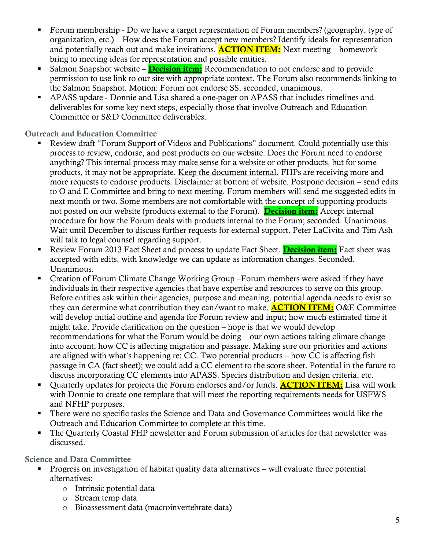- Forum membership Do we have a target representation of Forum members? (geography, type of organization, etc.) – How does the Forum accept new members? Identify ideals for representation and potentially reach out and make invitations. **ACTION ITEM:** Next meeting – homework – bring to meeting ideas for representation and possible entities.
- Salmon Snapshot website **Decision item:** Recommendation to not endorse and to provide permission to use link to our site with appropriate context. The Forum also recommends linking to the Salmon Snapshot. Motion: Forum not endorse SS, seconded, unanimous.
- APASS update Donnie and Lisa shared a one-pager on APASS that includes timelines and deliverables for some key next steps, especially those that involve Outreach and Education Committee or S&D Committee deliverables.

**Outreach and Education Committee**

- Review draft "Forum Support of Videos and Publications" document. Could potentially use this process to review, endorse, and post products on our website. Does the Forum need to endorse anything? This internal process may make sense for a website or other products, but for some products, it may not be appropriate. Keep the document internal. FHPs are receiving more and more requests to endorse products. Disclaimer at bottom of website. Postpone decision – send edits to O and E Committee and bring to next meeting. Forum members will send me suggested edits in next month or two. Some members are not comfortable with the concept of supporting products not posted on our website (products external to the Forum). **Decision item:** Accept internal procedure for how the Forum deals with products internal to the Forum; seconded. Unanimous. Wait until December to discuss further requests for external support. Peter LaCivita and Tim Ash will talk to legal counsel regarding support.
- Review Forum 2013 Fact Sheet and process to update Fact Sheet. **Decision item:** Fact sheet was accepted with edits, with knowledge we can update as information changes. Seconded. Unanimous.
- Creation of Forum Climate Change Working Group –Forum members were asked if they have individuals in their respective agencies that have expertise and resources to serve on this group. Before entities ask within their agencies, purpose and meaning, potential agenda needs to exist so they can determine what contribution they can/want to make. **ACTION ITEM:** O&E Committee will develop initial outline and agenda for Forum review and input; how much estimated time it might take. Provide clarification on the question – hope is that we would develop recommendations for what the Forum would be doing – our own actions taking climate change into account; how CC is affecting migration and passage. Making sure our priorities and actions are aligned with what's happening re: CC. Two potential products – how CC is affecting fish passage in CA (fact sheet); we could add a CC element to the score sheet. Potential in the future to discuss incorporating CC elements into APASS. Species distribution and design criteria, etc.
- Ouarterly updates for projects the Forum endorses and/or funds. **ACTION ITEM:** Lisa will work with Donnie to create one template that will meet the reporting requirements needs for USFWS and NFHP purposes.
- **There were no specific tasks the Science and Data and Governance Committees would like the** Outreach and Education Committee to complete at this time.
- The Quarterly Coastal FHP newsletter and Forum submission of articles for that newsletter was discussed.

**Science and Data Committee**

- Progress on investigation of habitat quality data alternatives will evaluate three potential alternatives:
	- o Intrinsic potential data
	- o Stream temp data
	- o Bioassessment data (macroinvertebrate data)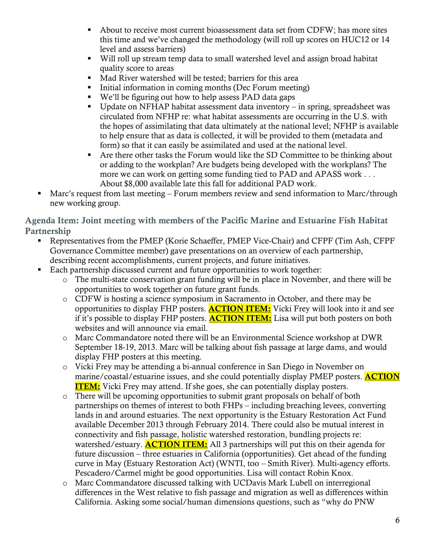- About to receive most current bioassessment data set from CDFW; has more sites this time and we've changed the methodology (will roll up scores on HUC12 or 14 level and assess barriers)
- Will roll up stream temp data to small watershed level and assign broad habitat quality score to areas
- Mad River watershed will be tested; barriers for this area
- $\blacksquare$  Initial information in coming months (Dec Forum meeting)
- We'll be figuring out how to help assess PAD data gaps
- Update on NFHAP habitat assessment data inventory in spring, spreadsheet was circulated from NFHP re: what habitat assessments are occurring in the U.S. with the hopes of assimilating that data ultimately at the national level; NFHP is available to help ensure that as data is collected, it will be provided to them (metadata and form) so that it can easily be assimilated and used at the national level.
- Are there other tasks the Forum would like the SD Committee to be thinking about or adding to the workplan? Are budgets being developed with the workplans? The more we can work on getting some funding tied to PAD and APASS work . . . About \$8,000 available late this fall for additional PAD work.
- Marc's request from last meeting Forum members review and send information to Marc/through new working group.

**Agenda Item: Joint meeting with members of the Pacific Marine and Estuarine Fish Habitat Partnership**

- Representatives from the PMEP (Korie Schaeffer, PMEP Vice-Chair) and CFPF (Tim Ash, CFPF Governance Committee member) gave presentations on an overview of each partnership, describing recent accomplishments, current projects, and future initiatives.
- Each partnership discussed current and future opportunities to work together:
	- o The multi-state conservation grant funding will be in place in November, and there will be opportunities to work together on future grant funds.
	- o CDFW is hosting a science symposium in Sacramento in October, and there may be opportunities to display FHP posters. **ACTION ITEM:** Vicki Frey will look into it and see if it's possible to display FHP posters. **ACTION ITEM:** Lisa will put both posters on both websites and will announce via email.
	- o Marc Commandatore noted there will be an Environmental Science workshop at DWR September 18-19, 2013. Marc will be talking about fish passage at large dams, and would display FHP posters at this meeting.
	- o Vicki Frey may be attending a bi-annual conference in San Diego in November on marine/coastal/estuarine issues, and she could potentially display PMEP posters. **ACTION ITEM:** Vicki Frey may attend. If she goes, she can potentially display posters.
	- o There will be upcoming opportunities to submit grant proposals on behalf of both partnerships on themes of interest to both FHPs – including breaching levees, converting lands in and around estuaries. The next opportunity is the Estuary Restoration Act Fund available December 2013 through February 2014. There could also be mutual interest in connectivity and fish passage, holistic watershed restoration, bundling projects re: watershed/estuary. **ACTION ITEM:** All 3 partnerships will put this on their agenda for future discussion – three estuaries in California (opportunities). Get ahead of the funding curve in May (Estuary Restoration Act) (WNTI, too – Smith River). Multi-agency efforts. Pescadero/Carmel might be good opportunities. Lisa will contact Robin Knox.
	- o Marc Commandatore discussed talking with UCDavis Mark Lubell on interregional differences in the West relative to fish passage and migration as well as differences within California. Asking some social/human dimensions questions, such as "why do PNW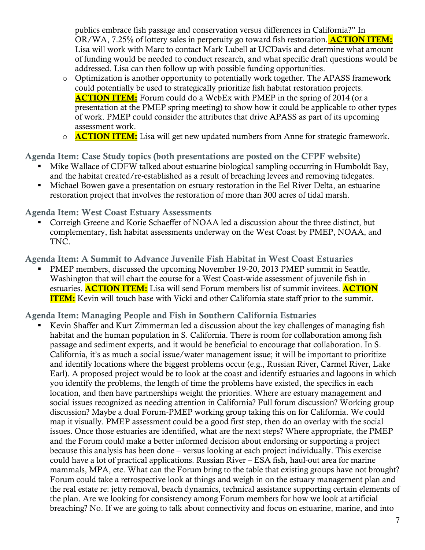publics embrace fish passage and conservation versus differences in California?" In OR/WA, 7.25% of lottery sales in perpetuity go toward fish restoration. **ACTION ITEM:** Lisa will work with Marc to contact Mark Lubell at UCDavis and determine what amount of funding would be needed to conduct research, and what specific draft questions would be addressed. Lisa can then follow up with possible funding opportunities.

- o Optimization is another opportunity to potentially work together. The APASS framework could potentially be used to strategically prioritize fish habitat restoration projects. **ACTION ITEM:** Forum could do a WebEx with PMEP in the spring of 2014 (or a presentation at the PMEP spring meeting) to show how it could be applicable to other types of work. PMEP could consider the attributes that drive APASS as part of its upcoming assessment work.
- o **ACTION ITEM:** Lisa will get new updated numbers from Anne for strategic framework.

**Agenda Item: Case Study topics (both presentations are posted on the CFPF website)**

- Mike Wallace of CDFW talked about estuarine biological sampling occurring in Humboldt Bay, and the habitat created/re-established as a result of breaching levees and removing tidegates.
- Michael Bowen gave a presentation on estuary restoration in the Eel River Delta, an estuarine restoration project that involves the restoration of more than 300 acres of tidal marsh.

#### **Agenda Item: West Coast Estuary Assessments**

 Correigh Greene and Korie Schaeffer of NOAA led a discussion about the three distinct, but complementary, fish habitat assessments underway on the West Coast by PMEP, NOAA, and TNC.

**Agenda Item: A Summit to Advance Juvenile Fish Habitat in West Coast Estuaries**

 PMEP members, discussed the upcoming November 19-20, 2013 PMEP summit in Seattle, Washington that will chart the course for a West Coast-wide assessment of juvenile fish in estuaries. **ACTION ITEM:** Lisa will send Forum members list of summit invitees. **ACTION ITEM:** Kevin will touch base with Vicki and other California state staff prior to the summit.

#### **Agenda Item: Managing People and Fish in Southern California Estuaries**

 Kevin Shaffer and Kurt Zimmerman led a discussion about the key challenges of managing fish habitat and the human population in S. California. There is room for collaboration among fish passage and sediment experts, and it would be beneficial to encourage that collaboration. In S. California, it's as much a social issue/water management issue; it will be important to prioritize and identify locations where the biggest problems occur (e.g., Russian River, Carmel River, Lake Earl). A proposed project would be to look at the coast and identify estuaries and lagoons in which you identify the problems, the length of time the problems have existed, the specifics in each location, and then have partnerships weight the priorities. Where are estuary management and social issues recognized as needing attention in California? Full forum discussion? Working group discussion? Maybe a dual Forum-PMEP working group taking this on for California. We could map it visually. PMEP assessment could be a good first step, then do an overlay with the social issues. Once those estuaries are identified, what are the next steps? Where appropriate, the PMEP and the Forum could make a better informed decision about endorsing or supporting a project because this analysis has been done – versus looking at each project individually. This exercise could have a lot of practical applications. Russian River – ESA fish, haul-out area for marine mammals, MPA, etc. What can the Forum bring to the table that existing groups have not brought? Forum could take a retrospective look at things and weigh in on the estuary management plan and the real estate re: jetty removal, beach dynamics, technical assistance supporting certain elements of the plan. Are we looking for consistency among Forum members for how we look at artificial breaching? No. If we are going to talk about connectivity and focus on estuarine, marine, and into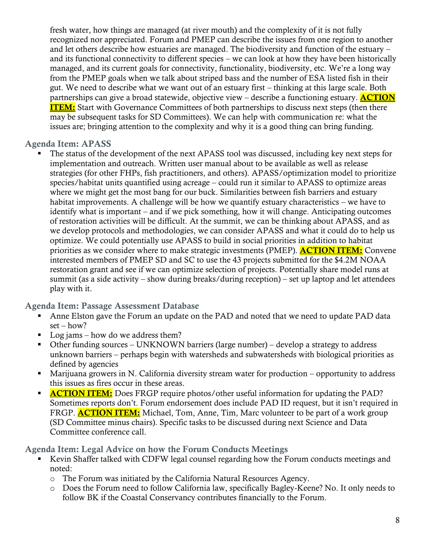fresh water, how things are managed (at river mouth) and the complexity of it is not fully recognized nor appreciated. Forum and PMEP can describe the issues from one region to another and let others describe how estuaries are managed. The biodiversity and function of the estuary – and its functional connectivity to different species – we can look at how they have been historically managed, and its current goals for connectivity, functionality, biodiversity, etc. We're a long way from the PMEP goals when we talk about striped bass and the number of ESA listed fish in their gut. We need to describe what we want out of an estuary first – thinking at this large scale. Both partnerships can give a broad statewide, objective view – describe a functioning estuary. **ACTION ITEM:** Start with Governance Committees of both partnerships to discuss next steps (then there may be subsequent tasks for SD Committees). We can help with communication re: what the issues are; bringing attention to the complexity and why it is a good thing can bring funding.

## **Agenda Item: APASS**

 The status of the development of the next APASS tool was discussed, including key next steps for implementation and outreach. Written user manual about to be available as well as release strategies (for other FHPs, fish practitioners, and others). APASS/optimization model to prioritize species/habitat units quantified using acreage – could run it similar to APASS to optimize areas where we might get the most bang for our buck. Similarities between fish barriers and estuary habitat improvements. A challenge will be how we quantify estuary characteristics – we have to identify what is important – and if we pick something, how it will change. Anticipating outcomes of restoration activities will be difficult. At the summit, we can be thinking about APASS, and as we develop protocols and methodologies, we can consider APASS and what it could do to help us optimize. We could potentially use APASS to build in social priorities in addition to habitat priorities as we consider where to make strategic investments (PMEP). **ACTION ITEM:** Convene interested members of PMEP SD and SC to use the 43 projects submitted for the \$4.2M NOAA restoration grant and see if we can optimize selection of projects. Potentially share model runs at summit (as a side activity – show during breaks/during reception) – set up laptop and let attendees play with it.

## **Agenda Item: Passage Assessment Database**

- Anne Elston gave the Forum an update on the PAD and noted that we need to update PAD data set – how?
- Log jams how do we address them?
- Other funding sources UNKNOWN barriers (large number) develop a strategy to address unknown barriers – perhaps begin with watersheds and subwatersheds with biological priorities as defined by agencies
- Marijuana growers in N. California diversity stream water for production opportunity to address this issues as fires occur in these areas.
- **ACTION ITEM:** Does FRGP require photos/other useful information for updating the PAD? Sometimes reports don't. Forum endorsement does include PAD ID request, but it isn't required in FRGP. **ACTION ITEM:** Michael, Tom, Anne, Tim, Marc volunteer to be part of a work group (SD Committee minus chairs). Specific tasks to be discussed during next Science and Data Committee conference call.

## **Agenda Item: Legal Advice on how the Forum Conducts Meetings**

- Kevin Shaffer talked with CDFW legal counsel regarding how the Forum conducts meetings and noted:
	- o The Forum was initiated by the California Natural Resources Agency.
	- o Does the Forum need to follow California law, specifically Bagley-Keene? No. It only needs to follow BK if the Coastal Conservancy contributes financially to the Forum.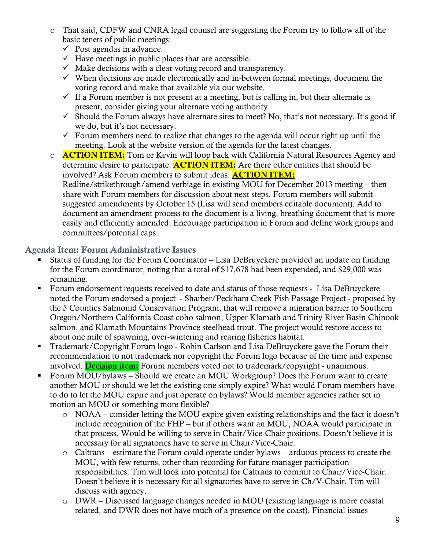- o That said, CDFW and CNRA legal counsel are suggesting the Forum try to follow all of the basic tenets of public meetings:
	- $\checkmark$  Post agendas in advance.
	- $\checkmark$  Have meetings in public places that are accessible.
	- $\checkmark$  Make decisions with a clear voting record and transparency.
	- $\checkmark$  When decisions are made electronically and in-between formal meetings, document the voting record and make that available via our website.
	- $\checkmark$  If a Forum member is not present at a meeting, but is calling in, but their alternate is present, consider giving your alternate voting authority.
	- $\checkmark$  Should the Forum always have alternate sites to meet? No, that's not necessary. It's good if we do, but it's not necessary.
	- $\checkmark$  Forum members need to realize that changes to the agenda will occur right up until the meeting. Look at the website version of the agenda for the latest changes.
- o **ACTION ITEM:** Tom or Kevin will loop back with California Natural Resources Agency and determine desire to participate. **ACTION ITEM:** Are there other entities that should be involved? Ask Forum members to submit ideas. **ACTION ITEM:** Redline/strikethrough/amend verbiage in existing MOU for December 2013 meeting – then share with Forum members for discussion about next steps. Forum members will submit suggested amendments by October 15 (Lisa will send members editable document). Add to document an amendment process to the document is a living, breathing document that is more easily and efficiently amended. Encourage participation in Forum and define work groups and committees/potential caps.

**Agenda Item: Forum Administrative Issues**

- Status of funding for the Forum Coordinator Lisa DeBruyckere provided an update on funding for the Forum coordinator, noting that a total of \$17,678 had been expended, and \$29,000 was remaining.
- Forum endorsement requests received to date and status of those requests Lisa DeBruyckere noted the Forum endorsed a project - Sharber/Peckham Creek Fish Passage Project - proposed by the 5 Counties Salmonid Conservation Program, that will remove a migration barrier to Southern Oregon/Northern California Coast coho salmon, Upper Klamath and Trinity River Basin Chinook salmon, and Klamath Mountains Province steelhead trout. The project would restore access to about one mile of spawning, over-wintering and rearing fisheries habitat.
- **Trademark/Copyright Forum logo Robin Carlson and Lisa DeBruyckere gave the Forum their** recommendation to not trademark nor copyright the Forum logo because of the time and expense involved. **Decision item:** Forum members voted not to trademark/copyright - unanimous.
- Forum MOU/bylaws Should we create an MOU Workgroup? Does the Forum want to create another MOU or should we let the existing one simply expire? What would Forum members have to do to let the MOU expire and just operate on bylaws? Would member agencies rather set in motion an MOU or something more flexible?
	- o NOAA consider letting the MOU expire given existing relationships and the fact it doesn't include recognition of the FHP – but if others want an MOU, NOAA would participate in that process. Would be willing to serve in Chair/Vice-Chair positions. Doesn't believe it is necessary for all signatories have to serve in Chair/Vice-Chair.
	- o Caltrans estimate the Forum could operate under bylaws arduous process to create the MOU, with few returns, other than recording for future manager participation responsibilities. Tim will look into potential for Caltrans to commit to Chair/Vice-Chair. Doesn't believe it is necessary for all signatories have to serve in Ch/V-Chair. Tim will discuss with agency.
	- o DWR Discussed language changes needed in MOU (existing language is more coastal related, and DWR does not have much of a presence on the coast). Financial issues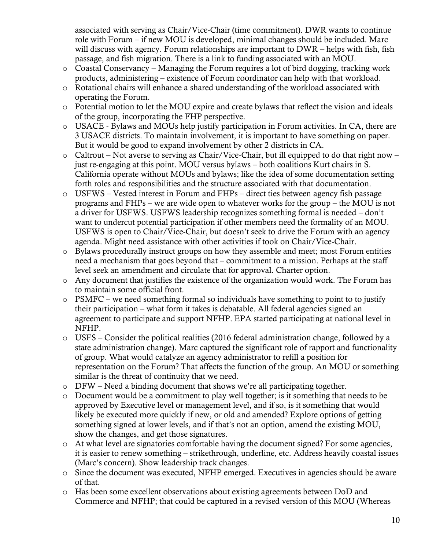associated with serving as Chair/Vice-Chair (time commitment). DWR wants to continue role with Forum – if new MOU is developed, minimal changes should be included. Marc will discuss with agency. Forum relationships are important to  $DWR -$  helps with fish, fish passage, and fish migration. There is a link to funding associated with an MOU.

- o Coastal Conservancy Managing the Forum requires a lot of bird dogging, tracking work products, administering – existence of Forum coordinator can help with that workload.
- o Rotational chairs will enhance a shared understanding of the workload associated with operating the Forum.
- o Potential motion to let the MOU expire and create bylaws that reflect the vision and ideals of the group, incorporating the FHP perspective.
- o USACE Bylaws and MOUs help justify participation in Forum activities. In CA, there are 3 USACE districts. To maintain involvement, it is important to have something on paper. But it would be good to expand involvement by other 2 districts in CA.
- o Caltrout Not averse to serving as Chair/Vice-Chair, but ill equipped to do that right now just re-engaging at this point. MOU versus bylaws – both coalitions Kurt chairs in S. California operate without MOUs and bylaws; like the idea of some documentation setting forth roles and responsibilities and the structure associated with that documentation.
- o USFWS Vested interest in Forum and FHPs direct ties between agency fish passage programs and FHPs – we are wide open to whatever works for the group – the MOU is not a driver for USFWS. USFWS leadership recognizes something formal is needed – don't want to undercut potential participation if other members need the formality of an MOU. USFWS is open to Chair/Vice-Chair, but doesn't seek to drive the Forum with an agency agenda. Might need assistance with other activities if took on Chair/Vice-Chair.
- o Bylaws procedurally instruct groups on how they assemble and meet; most Forum entities need a mechanism that goes beyond that – commitment to a mission. Perhaps at the staff level seek an amendment and circulate that for approval. Charter option.
- o Any document that justifies the existence of the organization would work. The Forum has to maintain some official front.
- o PSMFC we need something formal so individuals have something to point to to justify their participation – what form it takes is debatable. All federal agencies signed an agreement to participate and support NFHP. EPA started participating at national level in NFHP.
- o USFS Consider the political realities (2016 federal administration change, followed by a state administration change). Marc captured the significant role of rapport and functionality of group. What would catalyze an agency administrator to refill a position for representation on the Forum? That affects the function of the group. An MOU or something similar is the threat of continuity that we need.
- o DFW Need a binding document that shows we're all participating together.
- $\circ$  Document would be a commitment to play well together; is it something that needs to be approved by Executive level or management level, and if so, is it something that would likely be executed more quickly if new, or old and amended? Explore options of getting something signed at lower levels, and if that's not an option, amend the existing MOU, show the changes, and get those signatures.
- o At what level are signatories comfortable having the document signed? For some agencies, it is easier to renew something – strikethrough, underline, etc. Address heavily coastal issues (Marc's concern). Show leadership track changes.
- o Since the document was executed, NFHP emerged. Executives in agencies should be aware of that.
- o Has been some excellent observations about existing agreements between DoD and Commerce and NFHP; that could be captured in a revised version of this MOU (Whereas